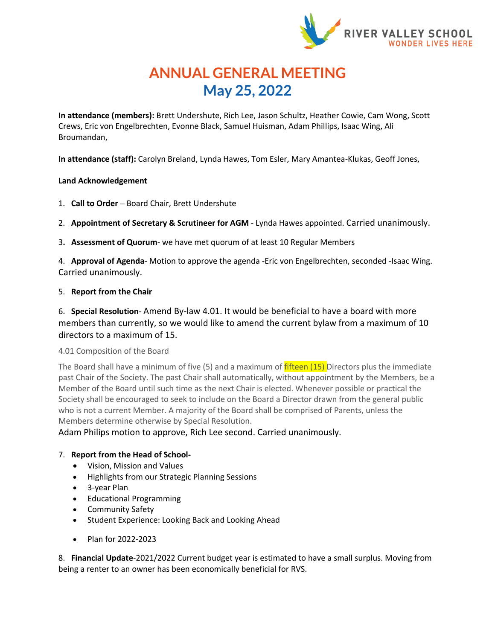

# **ANNUAL GENERAL MEETING May 25, 2022**

**In attendance (members):** Brett Undershute, Rich Lee, Jason Schultz, Heather Cowie, Cam Wong, Scott Crews, Eric von Engelbrechten, Evonne Black, Samuel Huisman, Adam Phillips, Isaac Wing, Ali Broumandan,

**In attendance (staff):** Carolyn Breland, Lynda Hawes, Tom Esler, Mary Amantea-Klukas, Geoff Jones,

## **Land Acknowledgement**

- 1. **Call to Order** Board Chair, Brett Undershute
- 2. **Appointment of Secretary & Scrutineer for AGM** Lynda Hawes appointed. Carried unanimously.
- 3**. Assessment of Quorum** we have met quorum of at least 10 Regular Members

4. **Approval of Agenda**- Motion to approve the agenda -Eric von Engelbrechten, seconded -Isaac Wing. Carried unanimously.

## 5. **Report from the Chair**

6. **Special Resolution**- Amend By-law 4.01. It would be beneficial to have a board with more members than currently, so we would like to amend the current bylaw from a maximum of 10 directors to a maximum of 15.

# 4.01 Composition of the Board

The Board shall have a minimum of five (5) and a maximum of fifteen (15) Directors plus the immediate past Chair of the Society. The past Chair shall automatically, without appointment by the Members, be a Member of the Board until such time as the next Chair is elected. Whenever possible or practical the Society shall be encouraged to seek to include on the Board a Director drawn from the general public who is not a current Member. A majority of the Board shall be comprised of Parents, unless the Members determine otherwise by Special Resolution.

Adam Philips motion to approve, Rich Lee second. Carried unanimously.

# 7. **Report from the Head of School-**

- Vision, Mission and Values
- Highlights from our Strategic Planning Sessions
- 3-year Plan
- Educational Programming
- Community Safety
- Student Experience: Looking Back and Looking Ahead
- Plan for 2022-2023

8. **Financial Update**-2021/2022 Current budget year is estimated to have a small surplus. Moving from being a renter to an owner has been economically beneficial for RVS.